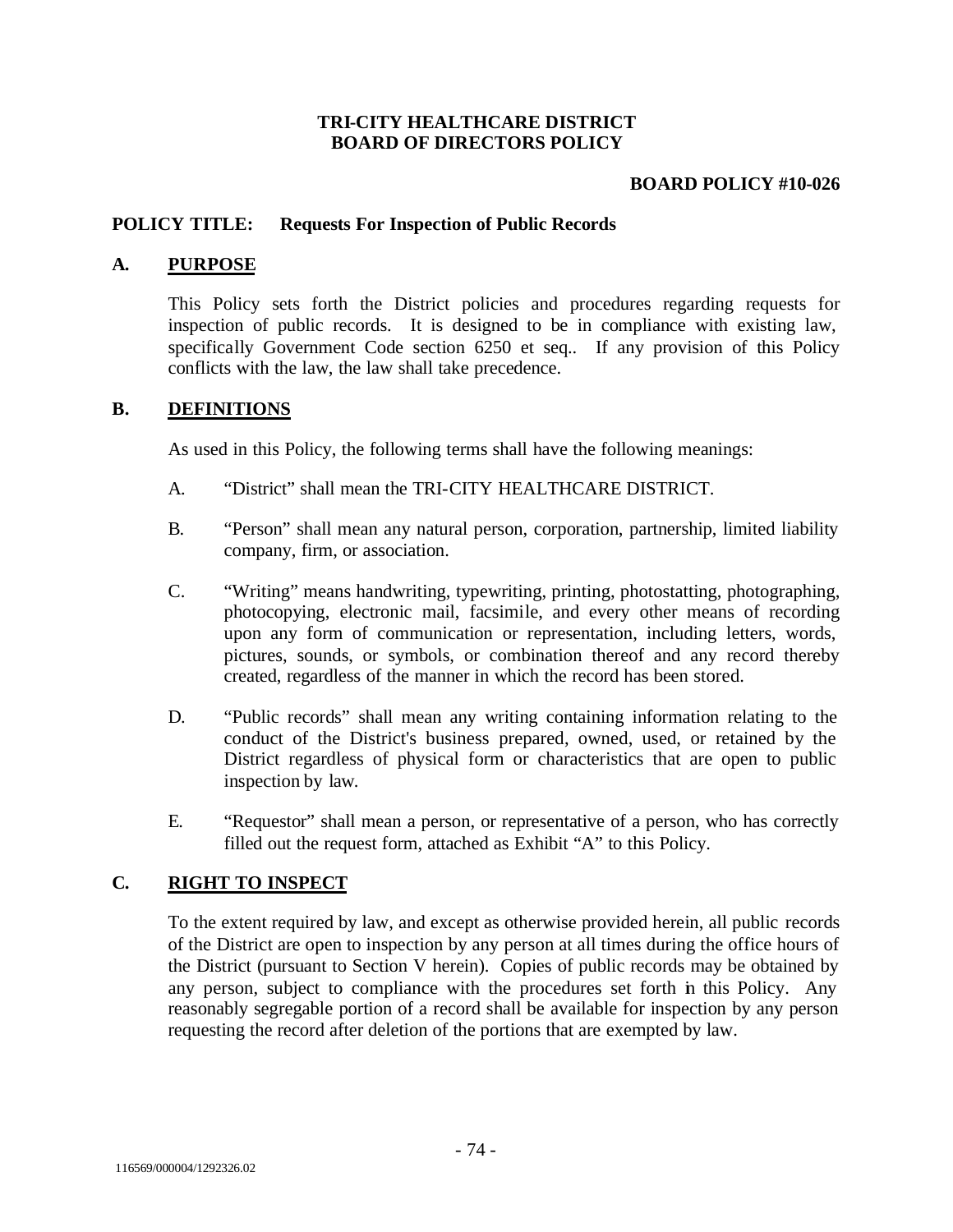### **TRI-CITY HEALTHCARE DISTRICT BOARD OF DIRECTORS POLICY**

### **BOARD POLICY #10-026**

### **POLICY TITLE: Requests For Inspection of Public Records**

#### **A. PURPOSE**

This Policy sets forth the District policies and procedures regarding requests for inspection of public records. It is designed to be in compliance with existing law, specifically Government Code section 6250 et seq.. If any provision of this Policy conflicts with the law, the law shall take precedence.

#### **B. DEFINITIONS**

As used in this Policy, the following terms shall have the following meanings:

- A. "District" shall mean the TRI-CITY HEALTHCARE DISTRICT.
- B. "Person" shall mean any natural person, corporation, partnership, limited liability company, firm, or association.
- C. "Writing" means handwriting, typewriting, printing, photostatting, photographing, photocopying, electronic mail, facsimile, and every other means of recording upon any form of communication or representation, including letters, words, pictures, sounds, or symbols, or combination thereof and any record thereby created, regardless of the manner in which the record has been stored.
- D. "Public records" shall mean any writing containing information relating to the conduct of the District's business prepared, owned, used, or retained by the District regardless of physical form or characteristics that are open to public inspection by law.
- E. "Requestor" shall mean a person, or representative of a person, who has correctly filled out the request form, attached as Exhibit "A" to this Policy.

# **C. RIGHT TO INSPECT**

To the extent required by law, and except as otherwise provided herein, all public records of the District are open to inspection by any person at all times during the office hours of the District (pursuant to Section V herein). Copies of public records may be obtained by any person, subject to compliance with the procedures set forth in this Policy. Any reasonably segregable portion of a record shall be available for inspection by any person requesting the record after deletion of the portions that are exempted by law.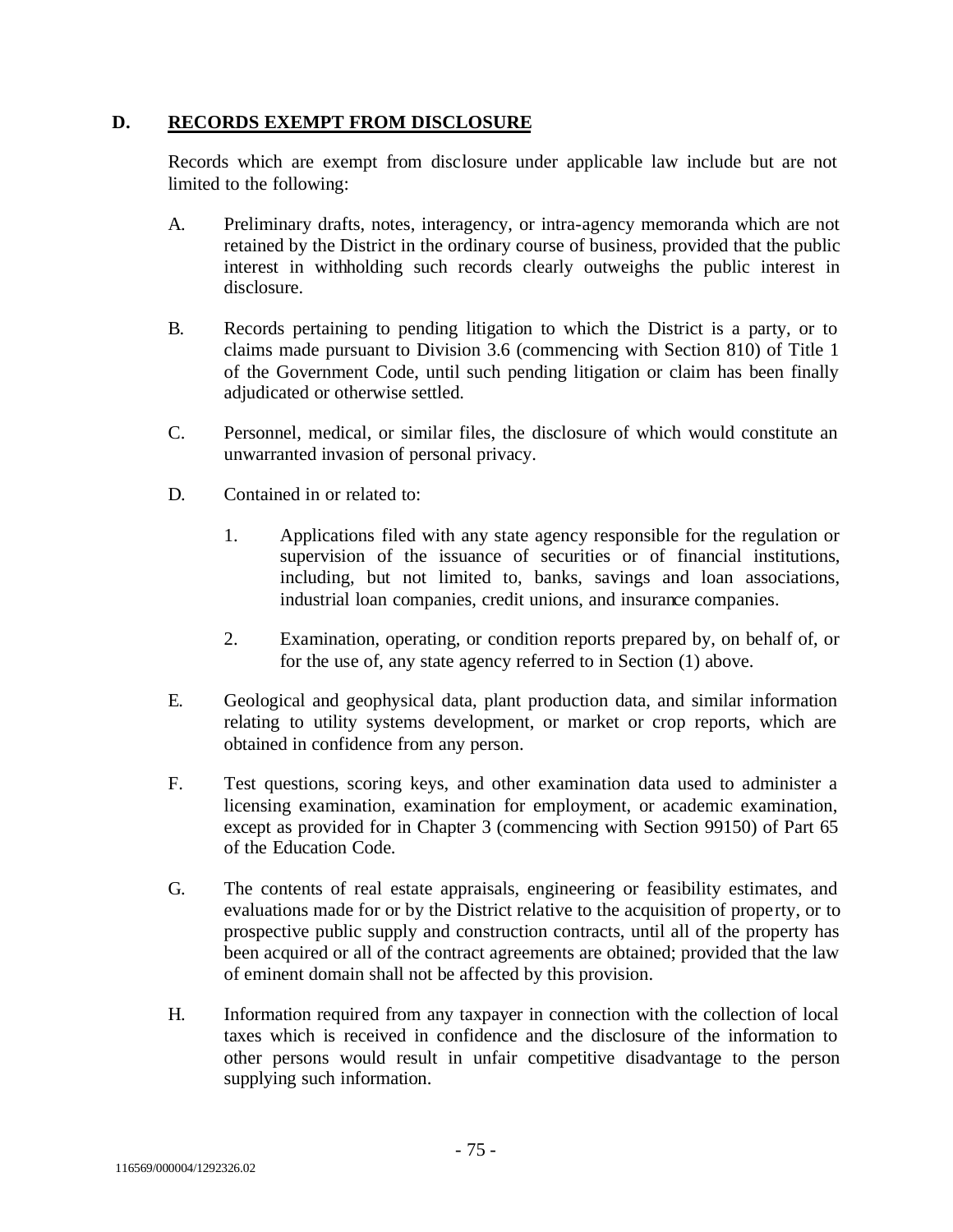### **D. RECORDS EXEMPT FROM DISCLOSURE**

Records which are exempt from disclosure under applicable law include but are not limited to the following:

- A. Preliminary drafts, notes, interagency, or intra-agency memoranda which are not retained by the District in the ordinary course of business, provided that the public interest in withholding such records clearly outweighs the public interest in disclosure.
- B. Records pertaining to pending litigation to which the District is a party, or to claims made pursuant to Division 3.6 (commencing with Section 810) of Title 1 of the Government Code, until such pending litigation or claim has been finally adjudicated or otherwise settled.
- C. Personnel, medical, or similar files, the disclosure of which would constitute an unwarranted invasion of personal privacy.
- D. Contained in or related to:
	- 1. Applications filed with any state agency responsible for the regulation or supervision of the issuance of securities or of financial institutions, including, but not limited to, banks, savings and loan associations, industrial loan companies, credit unions, and insurance companies.
	- 2. Examination, operating, or condition reports prepared by, on behalf of, or for the use of, any state agency referred to in Section (1) above.
- E. Geological and geophysical data, plant production data, and similar information relating to utility systems development, or market or crop reports, which are obtained in confidence from any person.
- F. Test questions, scoring keys, and other examination data used to administer a licensing examination, examination for employment, or academic examination, except as provided for in Chapter 3 (commencing with Section 99150) of Part 65 of the Education Code.
- G. The contents of real estate appraisals, engineering or feasibility estimates, and evaluations made for or by the District relative to the acquisition of property, or to prospective public supply and construction contracts, until all of the property has been acquired or all of the contract agreements are obtained; provided that the law of eminent domain shall not be affected by this provision.
- H. Information required from any taxpayer in connection with the collection of local taxes which is received in confidence and the disclosure of the information to other persons would result in unfair competitive disadvantage to the person supplying such information.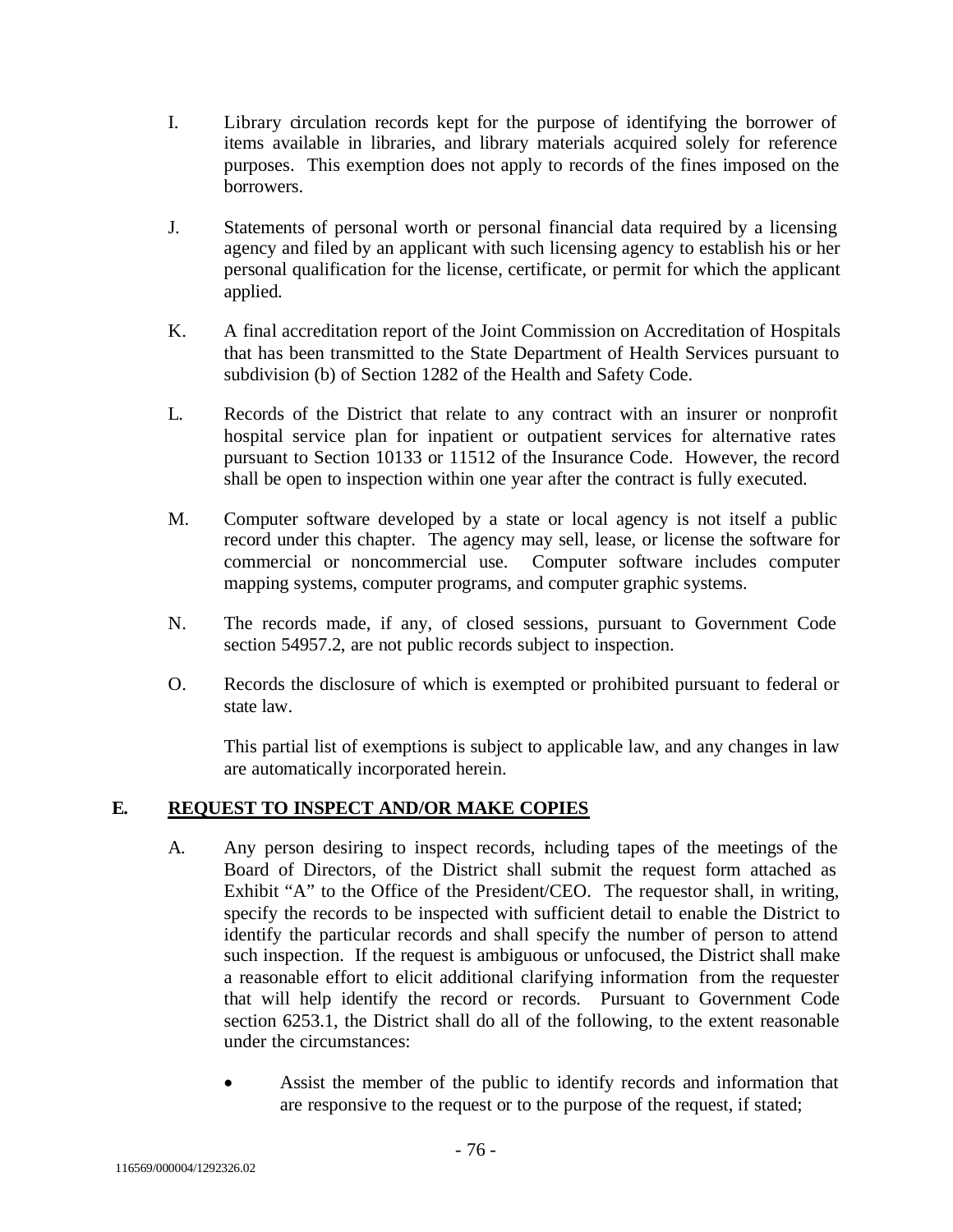- I. Library circulation records kept for the purpose of identifying the borrower of items available in libraries, and library materials acquired solely for reference purposes. This exemption does not apply to records of the fines imposed on the borrowers.
- J. Statements of personal worth or personal financial data required by a licensing agency and filed by an applicant with such licensing agency to establish his or her personal qualification for the license, certificate, or permit for which the applicant applied.
- K. A final accreditation report of the Joint Commission on Accreditation of Hospitals that has been transmitted to the State Department of Health Services pursuant to subdivision (b) of Section 1282 of the Health and Safety Code.
- L. Records of the District that relate to any contract with an insurer or nonprofit hospital service plan for inpatient or outpatient services for alternative rates pursuant to Section 10133 or 11512 of the Insurance Code. However, the record shall be open to inspection within one year after the contract is fully executed.
- M. Computer software developed by a state or local agency is not itself a public record under this chapter. The agency may sell, lease, or license the software for commercial or noncommercial use. Computer software includes computer mapping systems, computer programs, and computer graphic systems.
- N. The records made, if any, of closed sessions, pursuant to Government Code section 54957.2, are not public records subject to inspection.
- O. Records the disclosure of which is exempted or prohibited pursuant to federal or state law.

This partial list of exemptions is subject to applicable law, and any changes in law are automatically incorporated herein.

# **E. REQUEST TO INSPECT AND/OR MAKE COPIES**

- A. Any person desiring to inspect records, including tapes of the meetings of the Board of Directors, of the District shall submit the request form attached as Exhibit "A" to the Office of the President/CEO. The requestor shall, in writing, specify the records to be inspected with sufficient detail to enable the District to identify the particular records and shall specify the number of person to attend such inspection. If the request is ambiguous or unfocused, the District shall make a reasonable effort to elicit additional clarifying information from the requester that will help identify the record or records. Pursuant to Government Code section 6253.1, the District shall do all of the following, to the extent reasonable under the circumstances:
	- Assist the member of the public to identify records and information that are responsive to the request or to the purpose of the request, if stated;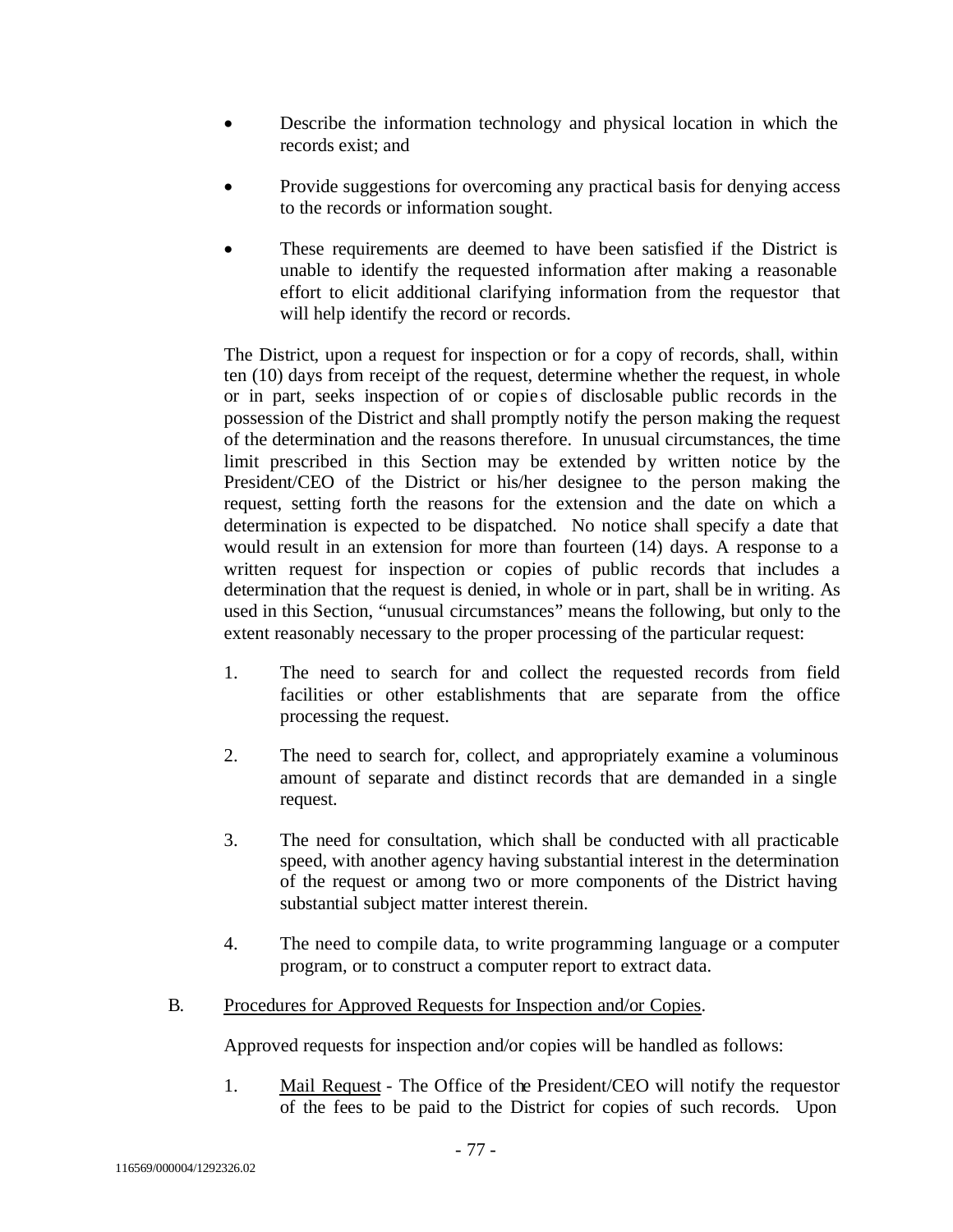- Describe the information technology and physical location in which the records exist; and
- Provide suggestions for overcoming any practical basis for denying access to the records or information sought.
- These requirements are deemed to have been satisfied if the District is unable to identify the requested information after making a reasonable effort to elicit additional clarifying information from the requestor that will help identify the record or records.

The District, upon a request for inspection or for a copy of records, shall, within ten (10) days from receipt of the request, determine whether the request, in whole or in part, seeks inspection of or copie s of disclosable public records in the possession of the District and shall promptly notify the person making the request of the determination and the reasons therefore. In unusual circumstances, the time limit prescribed in this Section may be extended by written notice by the President/CEO of the District or his/her designee to the person making the request, setting forth the reasons for the extension and the date on which a determination is expected to be dispatched. No notice shall specify a date that would result in an extension for more than fourteen (14) days. A response to a written request for inspection or copies of public records that includes a determination that the request is denied, in whole or in part, shall be in writing. As used in this Section, "unusual circumstances" means the following, but only to the extent reasonably necessary to the proper processing of the particular request:

- 1. The need to search for and collect the requested records from field facilities or other establishments that are separate from the office processing the request.
- 2. The need to search for, collect, and appropriately examine a voluminous amount of separate and distinct records that are demanded in a single request.
- 3. The need for consultation, which shall be conducted with all practicable speed, with another agency having substantial interest in the determination of the request or among two or more components of the District having substantial subject matter interest therein.
- 4. The need to compile data, to write programming language or a computer program, or to construct a computer report to extract data.
- B. Procedures for Approved Requests for Inspection and/or Copies.

Approved requests for inspection and/or copies will be handled as follows:

1. Mail Request - The Office of the President/CEO will notify the requestor of the fees to be paid to the District for copies of such records. Upon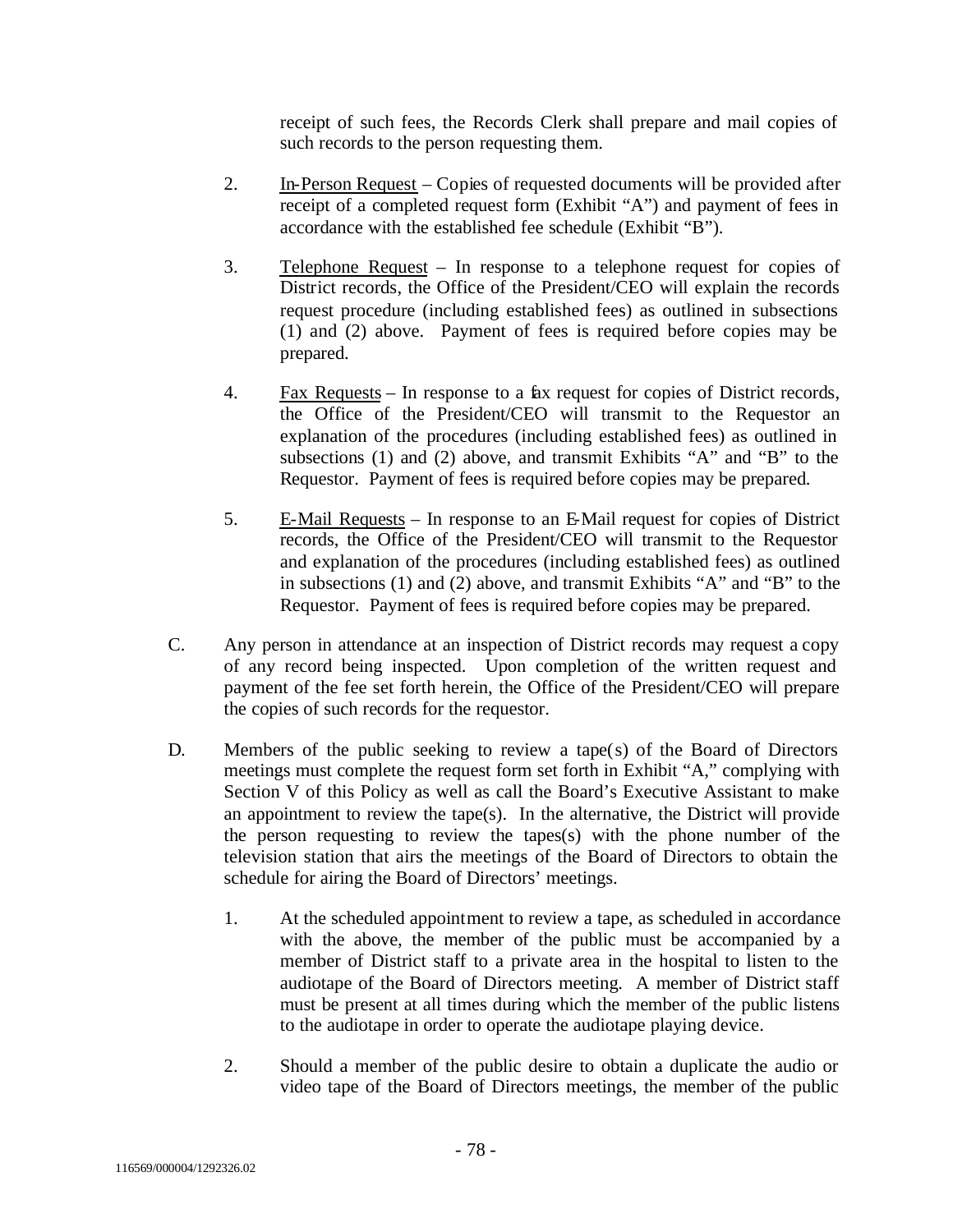receipt of such fees, the Records Clerk shall prepare and mail copies of such records to the person requesting them.

- 2. In-Person Request Copies of requested documents will be provided after receipt of a completed request form (Exhibit "A") and payment of fees in accordance with the established fee schedule (Exhibit "B").
- 3. Telephone Request In response to a telephone request for copies of District records, the Office of the President/CEO will explain the records request procedure (including established fees) as outlined in subsections (1) and (2) above. Payment of fees is required before copies may be prepared.
- 4. Fax Requests In response to a fax request for copies of District records, the Office of the President/CEO will transmit to the Requestor an explanation of the procedures (including established fees) as outlined in subsections (1) and (2) above, and transmit Exhibits "A" and "B" to the Requestor. Payment of fees is required before copies may be prepared.
- 5. E-Mail Requests In response to an E-Mail request for copies of District records, the Office of the President/CEO will transmit to the Requestor and explanation of the procedures (including established fees) as outlined in subsections (1) and (2) above, and transmit Exhibits "A" and "B" to the Requestor. Payment of fees is required before copies may be prepared.
- C. Any person in attendance at an inspection of District records may request a copy of any record being inspected. Upon completion of the written request and payment of the fee set forth herein, the Office of the President/CEO will prepare the copies of such records for the requestor.
- D. Members of the public seeking to review a tape(s) of the Board of Directors meetings must complete the request form set forth in Exhibit "A," complying with Section V of this Policy as well as call the Board's Executive Assistant to make an appointment to review the tape(s). In the alternative, the District will provide the person requesting to review the tapes(s) with the phone number of the television station that airs the meetings of the Board of Directors to obtain the schedule for airing the Board of Directors' meetings.
	- 1. At the scheduled appointment to review a tape, as scheduled in accordance with the above, the member of the public must be accompanied by a member of District staff to a private area in the hospital to listen to the audiotape of the Board of Directors meeting. A member of District staff must be present at all times during which the member of the public listens to the audiotape in order to operate the audiotape playing device.
	- 2. Should a member of the public desire to obtain a duplicate the audio or video tape of the Board of Directors meetings, the member of the public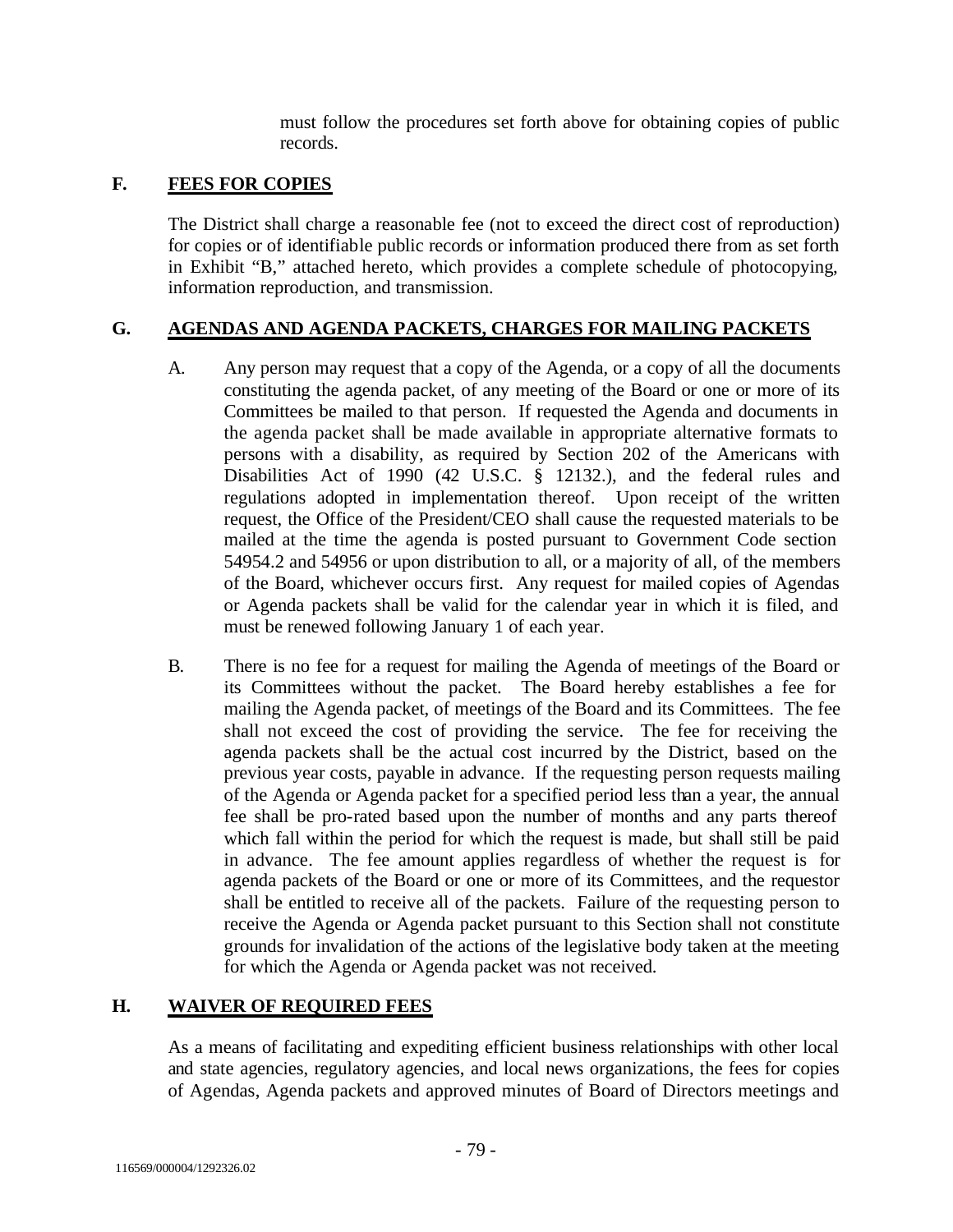must follow the procedures set forth above for obtaining copies of public records.

# **F. FEES FOR COPIES**

The District shall charge a reasonable fee (not to exceed the direct cost of reproduction) for copies or of identifiable public records or information produced there from as set forth in Exhibit "B," attached hereto, which provides a complete schedule of photocopying, information reproduction, and transmission.

# **G. AGENDAS AND AGENDA PACKETS, CHARGES FOR MAILING PACKETS**

- A. Any person may request that a copy of the Agenda, or a copy of all the documents constituting the agenda packet, of any meeting of the Board or one or more of its Committees be mailed to that person. If requested the Agenda and documents in the agenda packet shall be made available in appropriate alternative formats to persons with a disability, as required by Section 202 of the Americans with Disabilities Act of 1990 (42 U.S.C. § 12132.), and the federal rules and regulations adopted in implementation thereof. Upon receipt of the written request, the Office of the President/CEO shall cause the requested materials to be mailed at the time the agenda is posted pursuant to Government Code section 54954.2 and 54956 or upon distribution to all, or a majority of all, of the members of the Board, whichever occurs first. Any request for mailed copies of Agendas or Agenda packets shall be valid for the calendar year in which it is filed, and must be renewed following January 1 of each year.
- B. There is no fee for a request for mailing the Agenda of meetings of the Board or its Committees without the packet. The Board hereby establishes a fee for mailing the Agenda packet, of meetings of the Board and its Committees. The fee shall not exceed the cost of providing the service. The fee for receiving the agenda packets shall be the actual cost incurred by the District, based on the previous year costs, payable in advance. If the requesting person requests mailing of the Agenda or Agenda packet for a specified period less than a year, the annual fee shall be pro-rated based upon the number of months and any parts thereof which fall within the period for which the request is made, but shall still be paid in advance. The fee amount applies regardless of whether the request is for agenda packets of the Board or one or more of its Committees, and the requestor shall be entitled to receive all of the packets. Failure of the requesting person to receive the Agenda or Agenda packet pursuant to this Section shall not constitute grounds for invalidation of the actions of the legislative body taken at the meeting for which the Agenda or Agenda packet was not received.

# **H. WAIVER OF REQUIRED FEES**

As a means of facilitating and expediting efficient business relationships with other local and state agencies, regulatory agencies, and local news organizations, the fees for copies of Agendas, Agenda packets and approved minutes of Board of Directors meetings and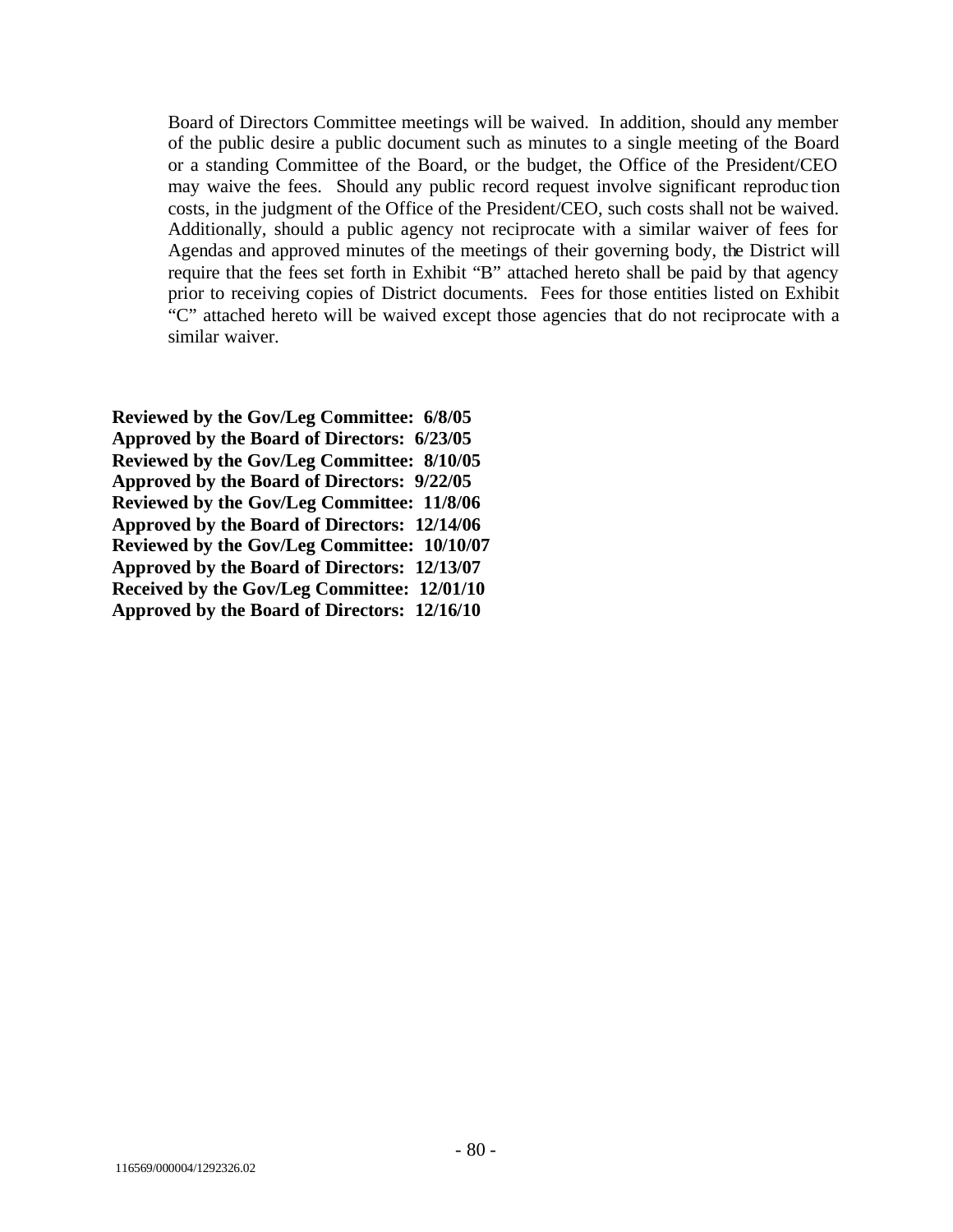Board of Directors Committee meetings will be waived. In addition, should any member of the public desire a public document such as minutes to a single meeting of the Board or a standing Committee of the Board, or the budget, the Office of the President/CEO may waive the fees. Should any public record request involve significant reproduc tion costs, in the judgment of the Office of the President/CEO, such costs shall not be waived. Additionally, should a public agency not reciprocate with a similar waiver of fees for Agendas and approved minutes of the meetings of their governing body, the District will require that the fees set forth in Exhibit "B" attached hereto shall be paid by that agency prior to receiving copies of District documents. Fees for those entities listed on Exhibit "C" attached hereto will be waived except those agencies that do not reciprocate with a similar waiver.

**Reviewed by the Gov/Leg Committee: 6/8/05 Approved by the Board of Directors: 6/23/05 Reviewed by the Gov/Leg Committee: 8/10/05 Approved by the Board of Directors: 9/22/05 Reviewed by the Gov/Leg Committee: 11/8/06 Approved by the Board of Directors: 12/14/06 Reviewed by the Gov/Leg Committee: 10/10/07 Approved by the Board of Directors: 12/13/07 Received by the Gov/Leg Committee: 12/01/10 Approved by the Board of Directors: 12/16/10**